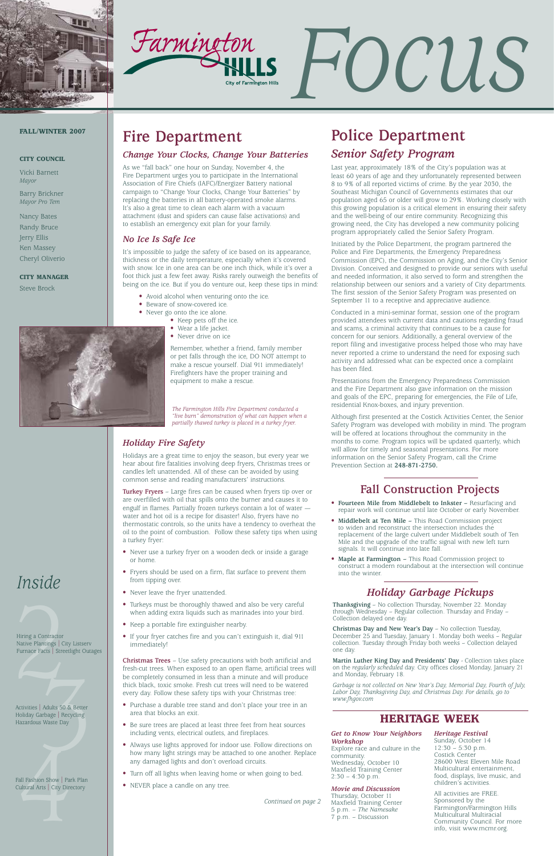



# *Focus*

### *Inside*

Hiring a Contractor<br>
Native Plantings | Cit<br>
Furnace Facts | Stree Hiring a Contractor Native Plantings | City Listserv Furnace Facts | Streetlight Outages

### **Fire Department**

### *Change Your Clocks, Change Your Batteries*

As we "fall back" one hour on Sunday, November 4, the Fire Department urges you to participate in the International Association of Fire Chiefs (IAFC)/Energizer Battery national campaign to "Change Your Clocks, Change Your Batteries" by replacing the batteries in all battery-operated smoke alarms. It's also a great time to clean each alarm with a vacuum attachment (dust and spiders can cause false activations) and to establish an emergency exit plan for your family.

### *No Ice Is Safe Ice*

It's impossible to judge the safety of ice based on its appearance, thickness or the daily temperature, especially when it's covered with snow. Ice in one area can be one inch thick, while it's over a foot thick just a few feet away. Risks rarely outweigh the benefits of being on the ice. But if you do venture out, keep these tips in mind:

- Avoid alcohol when venturing onto the ice.
- Beware of snow-covered ice.
- Never go onto the ice alone.
	- Keep pets off the ice.
	- Wear a life jacket.
	- Never drive on ice

Remember, whether a friend, family member or pet falls through the ice, DO NOT attempt to make a rescue yourself. Dial 911 immediately! Firefighters have the proper training and equipment to make a rescue.

### **FALL/WINTER 2007**

### **CITY COUNCIL**

Vicki Barnett *Mayor*

Barry Brickner *Mayor Pro Tem*

Nancy Bates Randy Bruce Jerry Ellis Ken Massey Cheryl Oliverio

**CITY MANAGER**

Steve Brock

### **Fall Construction Projects**

- **Fourteen Mile from Middlebelt to Inkster –** Resurfacing and repair work will continue until late October or early November.
- **Middlebelt at Ten Mile –** This Road Commission project to widen and reconstruct the intersection includes the replacement of the large culvert under Middlebelt south of Ten Mile and the upgrade of the traffic signal with new left turn signals. It will continue into late fall.
- **Maple at Farmington –** This Road Commission project to construct a modern roundabout at the intersection will continue into the winter.

### **HERITAGE WEEK**

### *Holiday Fire Safety*

Holidays are a great time to enjoy the season, but every year we hear about fire fatalities involving deep fryers, Christmas trees or candles left unattended. All of these can be avoided by using common sense and reading manufacturers' instructions.

**Turkey Fryers** – Large fires can be caused when fryers tip over or are overfilled with oil that spills onto the burner and causes it to engulf in flames. Partially frozen turkeys contain a lot of water water and hot oil is a recipe for disaster! Also, fryers have no thermostatic controls, so the units have a tendency to overheat the oil to the point of combustion. Follow these safety tips when using a turkey fryer:

- Never use a turkey fryer on a wooden deck or inside a garage or home.
- Fryers should be used on a firm, flat surface to prevent them from tipping over.
- Never leave the fryer unattended.
- Turkeys must be thoroughly thawed and also be very careful when adding extra liquids such as marinades into your bird.
- Keep a portable fire extinguisher nearby.

Adults 50 & Better<br>
arbage | Recycling<br>
s Waste Day<br>
Allen Charles Waste Day Activities | Adults 50 & Better Holiday Garbage | Recycling Hazardous Waste Day

Fall Fashion Show | Part<br>Cultural Arts | City Dire<br>|-Fall Fashion Show | Park Plan Cultural Arts | City Directory

• If your fryer catches fire and you can't extinguish it, dial 911 immediately!

> Explore race and culture in the community. Wednesday, October 10 Maxfield Training Center  $2:30 - 4:30$  p.m.

**Christmas Trees** – Use safety precautions with both artificial and fresh-cut trees. When exposed to an open flame, artificial trees will be completely consumed in less than a minute and will produce thick black, toxic smoke. Fresh cut trees will need to be watered every day. Follow these safety tips with your Christmas tree:

- Purchase a durable tree stand and don't place your tree in an area that blocks an exit.
- Be sure trees are placed at least three feet from heat sources including vents, electrical outlets, and fireplaces.
- Always use lights approved for indoor use. Follow directions on how many light strings may be attached to one another. Replace any damaged lights and don't overload circuits.
- Turn off all lights when leaving home or when going to bed.
- NEVER place a candle on any tree.

*Continued on page 2*

### **Police Department**

### *Senior Safety Program*

Last year, approximately 18% of the City's population was at least 60 years of age and they unfortunately represented between 8 to 9% of all reported victims of crime. By the year 2030, the Southeast Michigan Council of Governments estimates that our population aged 65 or older will grow to 29%. Working closely with this growing population is a critical element in ensuring their safety and the well-being of our entire community. Recognizing this growing need, the City has developed a new community policing program appropriately called the Senior Safety Program.

Initiated by the Police Department, the program partnered the Police and Fire Departments, the Emergency Preparedness Commission (EPC), the Commission on Aging, and the City's Senior Division. Conceived and designed to provide our seniors with useful and needed information, it also served to form and strengthen the relationship between our seniors and a variety of City departments. The first session of the Senior Safety Program was presented on September 11 to a receptive and appreciative audience.

Conducted in a mini-seminar format, session one of the program provided attendees with current data and cautions regarding fraud and scams, a criminal activity that continues to be a cause for concern for our seniors. Additionally, a general overview of the report filing and investigative process helped those who may have never reported a crime to understand the need for exposing such activity and addressed what can be expected once a complaint has been filed.

Presentations from the Emergency Preparedness Commission and the Fire Department also gave information on the mission and goals of the EPC, preparing for emergencies, the File of Life, residential Knox-boxes, and injury prevention.

Although first presented at the Costick Activities Center, the Senior Safety Program was developed with mobility in mind. The program will be offered at locations throughout the community in the months to come. Program topics will be updated quarterly, which will allow for timely and seasonal presentations. For more information on the Senior Safety Program, call the Crime Prevention Section at **248-871-2750.**

*The Farmington Hills Fire Department conducted a "live burn" demonstration of what can happen when a partially thawed turkey is placed in a turkey fryer.*

#### *Get to Know Your Neighbors Workshop*

#### *Movie and Discussion*

Thursday, October 11 Maxfield Training Center 5 p.m. – *The Namesake* 7 p.m. – Discussion

*Heritage Festival*

#### Sunday, October 14  $12:30 - 5:30$  p.m. Costick Center 28600 West Eleven Mile Road Multicultural entertainment, food, displays, live music, and children's activities.

All activities are FREE. Sponsored by the Farmington/Farmington Hills Multicultural Multiracial Community Council. For more info, visit www.mcmr.org.

### *Holiday Garbage Pickups*

**Thanksgiving** – No collection Thursday, November 22. Monday through Wednesday – Regular collection. Thursday and Friday – Collection delayed one day.

**Christmas Day and New Year's Day** – No collection Tuesday,

December 25 and Tuesday, January 1. Monday both weeks – Regular collection. Tuesday through Friday both weeks – Collection delayed one day.

**Martin Luther King Day and Presidents' Day** - Collection takes place on the *regularly scheduled* day. City offices closed Monday, January 21 and Monday, February 18.

*Garbage is not collected on New Year's Day, Memorial Day, Fourth of July, Labor Day, Thanksgiving Day, and Christmas Day. For details, go to www.fhgov.com*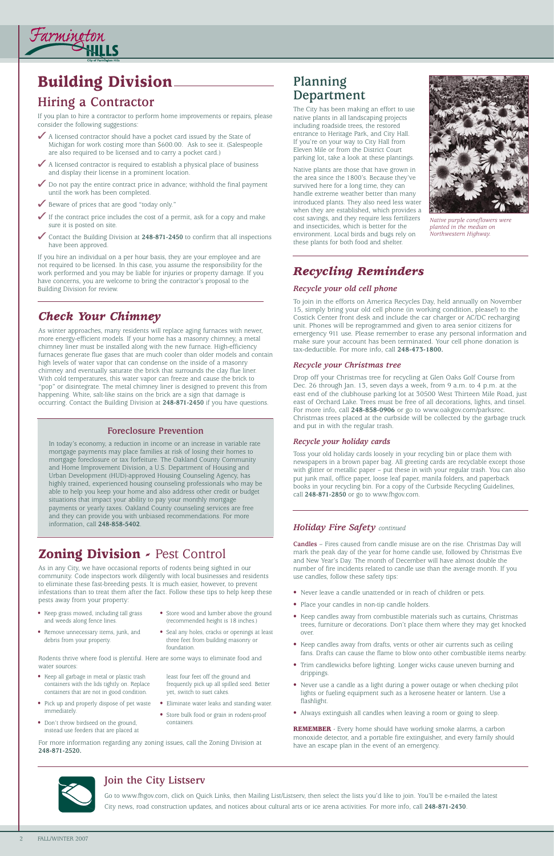### **Building Division**

### **Hiring a Contractor**

Farmineton

If you plan to hire a contractor to perform home improvements or repairs, please consider the following suggestions:

- ◆ A licensed contractor should have a pocket card issued by the State of Michigan for work costing more than \$600.00. Ask to see it. (Salespeople are also required to be licensed and to carry a pocket card.)
- ◆ A licensed contractor is required to establish a physical place of business and display their license in a prominent location.
- $\triangledown$  Do not pay the entire contract price in advance; withhold the final payment until the work has been completed.
- ✓ Beware of prices that are good "today only."
- $\checkmark$  If the contract price includes the cost of a permit, ask for a copy and make sure it is posted on site.
- ✓ Contact the Building Division at **248-871-2450** to confirm that all inspections have been approved.

If you hire an individual on a per hour basis, they are your employee and are not required to be licensed. In this case, you assume the responsibility for the work performed and you may be liable for injuries or property damage. If you have concerns, you are welcome to bring the contractor's proposal to the Building Division for review.

### **Planning Department**

The City has been making an effort to use native plants in all landscaping projects including roadside trees, the restored entrance to Heritage Park, and City Hall. If you're on your way to City Hall from Eleven Mile or from the District Court parking lot, take a look at these plantings.

Native plants are those that have grown in the area since the 1800's. Because they've survived here for a long time, they can handle extreme weather better than many introduced plants. They also need less water when they are established, which provides a cost savings, and they require less fertilizers and insecticides, which is better for the environment. Local birds and bugs rely on these plants for both food and shelter.

### **Zoning Division -** Pest Control

As in any City, we have occasional reports of rodents being sighted in our community. Code inspectors work diligently with local businesses and residents to eliminate these fast-breeding pests. It is much easier, however, to prevent infestations than to treat them after the fact. Follow these tips to help keep these pests away from your property:

### **Foreclosure Prevention**

In today's economy, a reduction in income or an increase in variable rate mortgage payments may place families at risk of losing their homes to mortgage foreclosure or tax forfeiture. The Oakland County Community and Home Improvement Division, a U.S. Department of Housing and Urban Development (HUD)-approved Housing Counseling Agency, has highly trained, experienced housing counseling professionals who may be able to help you keep your home and also address other credit or budget situations that impact your ability to pay your monthly mortgage payments or yearly taxes. Oakland County counseling services are free and they can provide you with unbiased recommendations. For more information, call **248-858-5402**.

### *Check Your Chimney*

As winter approaches, many residents will replace aging furnaces with newer, more energy-efficient models. If your home has a masonry chimney, a metal chimney liner must be installed along with the new furnace. High-efficiency furnaces generate flue gases that are much cooler than older models and contain high levels of water vapor that can condense on the inside of a masonry chimney and eventually saturate the brick that surrounds the clay flue liner. With cold temperatures, this water vapor can freeze and cause the brick to "pop" or disintegrate. The metal chimney liner is designed to prevent this from happening. White, salt-like stains on the brick are a sign that damage is occurring. Contact the Building Division at **248-871-2450** if you have questions.

### **Join the City Listserv**

Go to www.fhgov.com, click on Quick Links, then Mailing List/Listserv, then select the lists you'd like to join. You'll be e-mailed the latest City news, road construction updates, and notices about cultural arts or ice arena activities. For more info, call **248-871-2430**.

### *Holiday Fire Safety continued*

**Candles** – Fires caused from candle misuse are on the rise. Christmas Day will mark the peak day of the year for home candle use, followed by Christmas Eve and New Year's Day. The month of December will have almost double the number of fire incidents related to candle use than the average month. If you use candles, follow these safety tips:

- Never leave a candle unattended or in reach of children or pets.
- Place your candles in non-tip candle holders.
- Keep candles away from combustible materials such as curtains, Christmas trees, furniture or decorations. Don't place them where they may get knocked

over.

- 
- Keep candles away from drafts, vents or other air currents such as ceiling fans. Drafts can cause the flame to blow onto other combustible items nearby.
- Trim candlewicks before lighting. Longer wicks cause uneven burning and drippings.
- Never use a candle as a light during a power outage or when checking pilot lights or fueling equipment such as a kerosene heater or lantern. Use a flashlight.
- Always extinguish all candles when leaving a room or going to sleep.

**REMEMBER** - Every home should have working smoke alarms, a carbon monoxide detector, and a portable fire extinguisher, and every family should have an escape plan in the event of an emergency.



- Keep grass mowed, including tall grass and weeds along fence lines.
- Store wood and lumber above the ground (recommended height is 18 inches.)

- Remove unnecessary items, junk, and debris from your property.
- Seal any holes, cracks or openings at least three feet from building masonry or foundation.

- Keep all garbage in metal or plastic trash containers with the lids tightly on. Replace containers that are not in good condition.
- Pick up and properly dispose of pet waste immediately.
- Don't throw birdseed on the ground, instead use feeders that are placed at

least four feet off the ground and frequently pick up all spilled seed. Better yet, switch to suet cakes.

- Eliminate water leaks and standing water.
- Store bulk food or grain in rodent-proof containers.

Rodents thrive where food is plentiful. Here are some ways to eliminate food and water sources:

For more information regarding any zoning issues, call the Zoning Division at **248-871-2520.**



*Native purple coneflowers were planted in the median on Northwestern Highway.*

### *Recycling Reminders*

### *Recycle your old cell phone*

To join in the efforts on America Recycles Day, held annually on November 15, simply bring your old cell phone (in working condition, please!) to the Costick Center front desk and include the car charger or AC/DC recharging unit. Phones will be reprogrammed and given to area senior citizens for emergency 911 use. Please remember to erase any personal information and make sure your account has been terminated. Your cell phone donation is tax-deductible. For more info, call **248-473-1800.**

### *Recycle your Christmas tree*

Drop off your Christmas tree for recycling at Glen Oaks Golf Course from Dec. 26 through Jan. 13, seven days a week, from 9 a.m. to 4 p.m. at the east end of the clubhouse parking lot at 30500 West Thirteen Mile Road, just east of Orchard Lake. Trees must be free of all decorations, lights, and tinsel. For more info, call **248-858-0906** or go to www.oakgov.com/parksrec. Christmas trees placed at the curbside will be collected by the garbage truck and put in with the regular trash.

### *Recycle your holiday cards*

Toss your old holiday cards loosely in your recycling bin or place them with newspapers in a brown paper bag. All greeting cards are recyclable except those with glitter or metallic paper – put these in with your regular trash. You can also put junk mail, office paper, loose leaf paper, manila folders, and paperback books in your recycling bin. For a copy of the Curbside Recycling Guidelines, call **248-871-2850** or go to www.fhgov.com.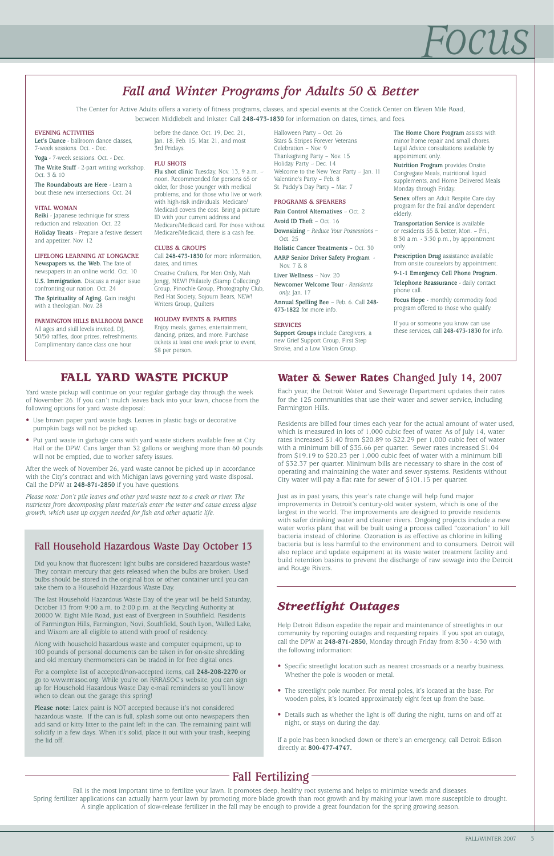## *Focus*

### **Fall Fertilizing**

Fall is the most important time to fertilize your lawn. It promotes deep, healthy root systems and helps to minimize weeds and diseases. Spring fertilizer applications can actually harm your lawn by promoting more blade growth than root growth and by making your lawn more susceptible to drought. A single application of slow-release fertilizer in the fall may be enough to provide a great foundation for the spring growing season.

### **Fall Household Hazardous Waste Day October 13**

Did you know that fluorescent light bulbs are considered hazardous waste? They contain mercury that gets released when the bulbs are broken. Used bulbs should be stored in the original box or other container until you can take them to a Household Hazardous Waste Day.

The last Household Hazardous Waste Day of the year will be held Saturday, October 13 from 9:00 a.m. to 2:00 p.m. at the Recycling Authority at 20000 W. Eight Mile Road, just east of Evergreen in Southfield. Residents of Farmington Hills, Farmington, Novi, Southfield, South Lyon, Walled Lake,

### **FALL YARD WASTE PICKUP Water & Sewer Rates** Changed July 14, 2007

and Wixom are all eligible to attend with proof of residency.

Along with household hazardous waste and computer equipment, up to 100 pounds of personal documents can be taken in for on-site shredding and old mercury thermometers can be traded in for free digital ones.

For a complete list of accepted/non-accepted items, call **248-208-2270** or go to www.rrrasoc.org. While you're on RRRASOC's website, you can sign up for Household Hazardous Waste Day e-mail reminders so you'll know when to clean out the garage this spring!

**Please note:** Latex paint is NOT accepted because it's not considered hazardous waste. If the can is full, splash some out onto newspapers then add sand or kitty litter to the paint left in the can. The remaining paint will solidify in a few days. When it's solid, place it out with your trash, keeping the lid off.

### *Fall and Winter Programs for Adults 50 & Better*

The Center for Active Adults offers a variety of fitness programs, classes, and special events at the Costick Center on Eleven Mile Road, between Middlebelt and Inkster. Call **248-473-1830** for information on dates, times, and fees.

> Each year, the Detroit Water and Sewerage Department updates their rates for the 125 communities that use their water and sewer service, including Farmington Hills.

Residents are billed four times each year for the actual amount of water used, which is measured in lots of 1,000 cubic feet of water. As of July 14, water rates increased \$1.40 from \$20.89 to \$22.29 per 1,000 cubic feet of water with a minimum bill of \$35.66 per quarter. Sewer rates increased \$1.04 from \$19.19 to \$20.23 per 1,000 cubic feet of water with a minimum bill of \$32.37 per quarter. Minimum bills are necessary to share in the cost of operating and maintaining the water and sewer systems. Residents without City water will pay a flat rate for sewer of \$101.15 per quarter.

Enjoy meals, games, entertainment, dancing, prizes, and more. Purchase tickets at least one week prior to event, \$8 per person.

> Just as in past years, this year's rate change will help fund major improvements in Detroit's century-old water system, which is one of the largest in the world. The improvements are designed to provide residents with safer drinking water and cleaner rivers. Ongoing projects include a new water works plant that will be built using a process called "ozonation" to kill bacteria instead of chlorine. Ozonation is as effective as chlorine in killing bacteria but is less harmful to the environment and to consumers. Detroit will also replace and update equipment at its waste water treatment facility and build retention basins to prevent the discharge of raw sewage into the Detroit and Rouge Rivers.

Yard waste pickup will continue on your regular garbage day through the week of November 26. If you can't mulch leaves back into your lawn, choose from the following options for yard waste disposal:

- Use brown paper yard waste bags. Leaves in plastic bags or decorative pumpkin bags will not be picked up.
- Put yard waste in garbage cans with yard waste stickers available free at City Hall or the DPW. Cans larger than 32 gallons or weighing more than 60 pounds will not be emptied, due to worker safety issues.

After the week of November 26, yard waste cannot be picked up in accordance with the City's contract and with Michigan laws governing yard waste disposal. Call the DPW at **248-871-2850** if you have questions.

*Please note: Don't pile leaves and other yard waste next to a creek or river. The nutrients from decomposing plant materials enter the water and cause excess algae growth, which uses up oxygen needed for fish and other aquatic life.*

#### **EVENING ACTIVITIES**

**Let's Dance** - ballroom dance classes, 7-week sessions. Oct. - Dec.

**Yoga** - 7-week sessions. Oct. - Dec. **The Write Stuff** - 2-part writing workshop. Oct. 3 & 10

**The Roundabouts are Here** - Learn a bout these new intersections. Oct. 24

### **VITAL WOMAN**

**Reiki** - Japanese technique for stress reduction and relaxation. Oct. 22

**Holiday Treats** - Prepare a festive dessert and appetizer. Nov. 12

#### **LIFELONG LEARNING AT LONGACRE Newspapers vs. the Web.** The fate of newspapers in an online world. Oct. 10

**U.S. Immigration.** Discuss a major issue confronting our nation. Oct. 24

**The Spirituality of Aging.** Gain insight with a theologian. Nov. 28

### **FARMINGTON HILLS BALLROOM DANCE** All ages and skill levels invited. DJ, 50/50 raffles, door prizes, refreshments. Complimentary dance class one hour

before the dance. Oct. 19, Dec. 21, Jan. 18, Feb. 15, Mar. 21, and most 3rd Fridays.

### **FLU SHOTS**

**Flu shot clinic** Tuesday, Nov. 13, 9 a.m. – noon. Recommended for persons 65 or older, for those younger with medical problems, and for those who live or work with high-risk individuals. Medicare/ Medicaid covers the cost. Bring a picture ID with your current address and Medicare/Medicaid card. For those without Medicare/Medicaid, there is a cash fee.

#### **CLUBS & GROUPS**

Call **248-473-1830** for more information, dates, and times.

Creative Crafters, For Men Only, Mah Jongg, NEW! Philately (Stamp Collecting) Group, Pinochle Group, Photography Club, Red Hat Society, Sojourn Bears, NEW! Writers Group, Quilters

### **HOLIDAY EVENTS & PARTIES**

Halloween Party – Oct. 26 Stars & Stripes Forever Veterans Celebration – Nov. 9 Thanksgiving Party – Nov. 15 Holiday Party – Dec. 14 Welcome to the New Year Party – Jan. 11 Valentine's Party – Feb. 8 St. Paddy's Day Party – Mar. 7

#### **PROGRAMS & SPEAKERS**

**Pain Control Alternatives** – Oct. 2

**Avoid ID Theft** – Oct. 16 **Downsizing** *– Reduce Your Possessions –* 

Oct. 25

**Holistic Cancer Treatments** – Oct. 30 **AARP Senior Driver Safety Program** -

Nov. 7 & 8 **Liver Wellness** – Nov. 20

**Newcomer Welcome Tour** - *Residents only.* Jan. 17

**Annual Spelling Bee** – Feb. 6. Call **248- 473-1822** for more info.

### **SERVICES**

**Support Groups** include Caregivers, a new Grief Support Group, First Step Stroke, and a Low Vision Group.

**The Home Chore Program** assists with minor home repair and small chores. Legal Advice consultations available by appointment only.

**Nutrition Program** provides Onsite Congregate Meals, nutritional liquid supplements, and Home Delivered Meals Monday through Friday.

**Senex** offers an Adult Respite Care day program for the frail and/or dependent elderly.

**Transportation Service** is available or residents 55 & better, Mon. – Fri., 8:30 a.m. - 3:30 p.m., by appointment only.

**Prescription Drug** assistance available from onsite counselors by appointment.

**9-1-1 Emergency Cell Phone Program.**

**Telephone Reassurance** - daily contact phone call.

**Focus Hope** - monthly commodity food program offered to those who qualify.

If you or someone you know can use these services, call **248-473-1830** for info.

### *Streetlight Outages*

Help Detroit Edison expedite the repair and maintenance of streetlights in our

community by reporting outages and requesting repairs. If you spot an outage, call the DPW at **248-871-2850**, Monday through Friday from 8:30 - 4:30 with the following information:

- Specific streetlight location such as nearest crossroads or a nearby business. Whether the pole is wooden or metal.
- The streetlight pole number. For metal poles, it's located at the base. For wooden poles, it's located approximately eight feet up from the base.
- Details such as whether the light is off during the night, turns on and off at night, or stays on during the day.

If a pole has been knocked down or there's an emergency, call Detroit Edison directly at **800-477-4747.**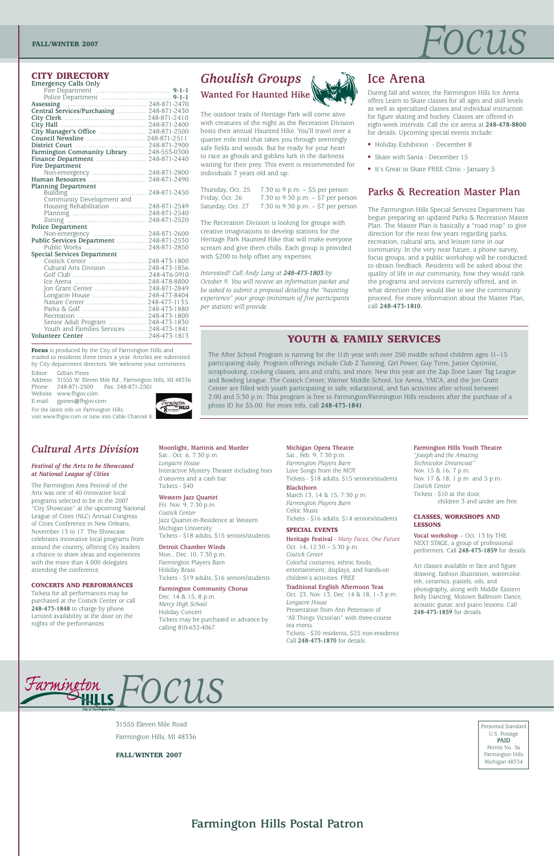## FOCUS



Presorted Standard U.S. Postage **PAID** Permit No. 36 Farmington Hills Michigan 48334

31555 Eleven Mile Road

Farmington Hills, MI 48336

**FALL/WINTER 2007**

**Farmington Hills Postal Patron**

### *Cultural Arts Division*

### *Festival of the Arts to be Showcased at National League of Cities*

The Farmington Area Festival of the Arts was one of 40 innovative local programs selected to be in the 2007 "City Showcase" at the upcoming National League of Cities (NLC) Annual Congress of Cities Conference in New Orleans, November 13 to 17. The Showcase celebrates innovative local programs from around the country, offering City leaders a chance to share ideas and experiences with the more than 4,000 delegates attending the conference.

### **CONCERTS AND PERFORMANCES**

Tickets for all performances may be purchased at the Costick Center or call **248-473-1848** to charge by phone. Limited availability at the door on the nights of the performances.

**Moonlight, Martinis and Murder** Sat., Oct. 6, 7:30 p.m. *Longacre House*

Interactive Mystery Theater including hors d'oeuvres and a cash bar. Tickets - \$40

### **Western Jazz Quartet**

Fri. Nov. 9, 7:30 p.m. *Costick Center* Jazz Quartet-in-Residence at Western Michigan University Tickets - \$18 adults, \$15 seniors/students

### **Detroit Chamber Winds**

Mon., Dec. 10, 7:30 p.m. Farmington Players Barn Holiday Brass Tickets - \$19 adults, \$16 seniors/students

### **Farmington Community Chorus**

Dec. 14 & 15, 8 p.m. *Mercy High School* Holiday Concert Tickets may be purchased in advance by calling 810-632-4067.

#### **Michigan Opera Theatre**

Sat., Feb. 9, 7:30 p.m. *Farmington Players Barn* Love Songs from the MOT Tickets - \$18 adults, \$15 seniors/students

#### **Blackthorn**

March 13, 14 & 15, 7:30 p.m. *Farmington Players Barn* Celtic Music Tickets - \$16 adults, \$14 seniors/students

#### **SPECIAL EVENTS**

**Heritage Festival** - *Many Faces, One Future* Oct. 14, 12:30 – 5:30 p.m. *Costick Center* Colorful costumes, ethnic foods, entertainment, displays, and hands-on children's activities. FREE

### **Traditional English Afternoon Teas**

Oct. 23, Nov. 13, Dec. 14 & 18, 1–3 p.m. *Longacre House* Presentation from Ann Pettersson of "All Things Victorian" with three-course tea menu.

Tickets - \$20 residents, \$25 non-residents Call **248-473-1870** for details.

#### **Farmington Hills Youth Theatre**

*"Joseph and the Amazing Technicolor Dreamcoat"* Nov. 15 & 16, 7 p.m. Nov. 17 & 18, 1 p.m. and 5 p.m. *Costick Center* Tickets - \$10 at the door, children 3 and under are free.

### **CLASSES, WORKSHOPS AND LESSONS**

**Vocal workshop** – Oct. 13 by THE NEXT STAGE, a group of professional performers. Call **248-473-1859** for details.

Address: 31555 W. Eleven Mile Rd., Farmington Hills, MI 48336 Phone: 248-871-2500 Fax: 248-871-2501

> Art classes available in face and figure drawing, fashion illustration, watercolor, ink, ceramics, pastels, oils, and photography, along with Middle Eastern Belly Dancing, Motown Ballroom Dance, acoustic guitar, and piano lessons. Call **248-473-1859** for details.

### **CITY DIRECTORY**

| Emergency Calls Only |  |  |
|----------------------|--|--|
| Fire Donartmont      |  |  |

Thursday, Oct. 25  $-7:30$  to 9 p.m.  $-$  \$5 per person Friday, Oct. 26 7:30 to 9:30 p.m. – \$7 per person Saturday, Oct. 27 7:30 to 9:30 p.m. – \$7 per person

| Farmington Community Library  248-553-0300                                      |  |
|---------------------------------------------------------------------------------|--|
|                                                                                 |  |
| Fire Department                                                                 |  |
| Non-emergency  248-871-2800                                                     |  |
| Human Resources  248-871-2490                                                   |  |
| <b>Planning Department</b>                                                      |  |
| Building<br>Community Development and<br>Community Development and              |  |
|                                                                                 |  |
| Housing Rehabilitation  248-871-2549                                            |  |
|                                                                                 |  |
| Zoning Manual Manual 248-871-2520                                               |  |
| Police Department                                                               |  |
| Non-emergency  248-871-2600                                                     |  |
| Public Services Department  248-871-2530                                        |  |
|                                                                                 |  |
| <b>Special Services Department</b>                                              |  |
|                                                                                 |  |
| Cultural Arts Division  248-473-1856                                            |  |
|                                                                                 |  |
|                                                                                 |  |
| Jon Grant Center  248-871-2849                                                  |  |
| Longacre House  248-477-8404                                                    |  |
|                                                                                 |  |
|                                                                                 |  |
|                                                                                 |  |
|                                                                                 |  |
| Senior Adult Program  248-473-1830<br>Youth and Families Services  248-473-1841 |  |
|                                                                                 |  |
|                                                                                 |  |

**Focus** is produced by the City of Farmington Hills and mailed to residents three times a year. Articles are submitted by City department directors. We welcome your comments. Editor: Gillian Pines

Website: www.fhgov.com

E-mail: gpines@fhgov.com

For the latest info on Farmington Hills, visit www.fhgov.com or tune into Cable Channel 8.



### **YOUTH & FAMILY SERVICES**

The After School Program is running for the 11th year with over 250 middle school children ages 11–15 participating daily. Program offerings include Club Z Tutoring, Girl Power, Guy Time, Junior Optimist, scrapbooking, cooking classes, arts and crafts, and more. New this year are the Zap Zone Laser Tag League and Bowling League. The Costick Center, Warner Middle School, Ice Arena, YMCA, and the Jon Grant Center are filled with youth participating in safe, educational, and fun activities after school between 2:00 and 5:30 p.m. This program is free to Farmington/Farmington Hills residents after the purchase of a photo ID for \$5.00. For more info, call **248-473-1841**.

### **Ice Arena**

During fall and winter, the Farmington Hills Ice Arena offers Learn to Skate classes for all ages and skill levels as well as specialized classes and individual instruction for figure skating and hockey. Classes are offered in eight-week intervals. Call the ice arena at **248-478-8800** for details. Upcoming special events include:

- Holiday Exhibition December 8
- Skate with Santa December 15
- It's Great to Skate FREE Clinic January 5

### *Ghoulish Groups*

**Wanted For Haunted Hike**



The outdoor trails of Heritage Park will come alive with creatures of the night as the Recreation Division hosts their annual Haunted Hike. You'll travel over a quarter mile trail that takes you through seemingly safe fields and woods. But be ready for your heart to race as ghouls and goblins lurk in the darkness waiting for their prey. This event is recommended for individuals 7 years old and up.

The Recreation Division is looking for groups with creative imaginations to develop stations for the Heritage Park Haunted Hike that will make everyone scream and give them chills. Each group is provided with \$200 to help offset any expenses.

*Interested? Call Andy Lang at 248-473-1803 by October 9. You will receive an information packet and be asked to submit a proposal detailing the "haunting experience" your group (minimum of five participants per station) will provide.* 

### **Parks & Recreation Master Plan**

The Farmington Hills Special Services Department has begun preparing an updated Parks & Recreation Master Plan. The Master Plan is basically a "road map" to give direction for the next few years regarding parks, recreation, cultural arts, and leisure time in our community. In the very near future, a phone survey, focus groups, and a public workshop will be conducted to obtain feedback. Residents will be asked about the quality of life in our community, how they would rank the programs and services currently offered, and in what direction they would like to see the community proceed. For more information about the Master Plan, call **248-473-1810.**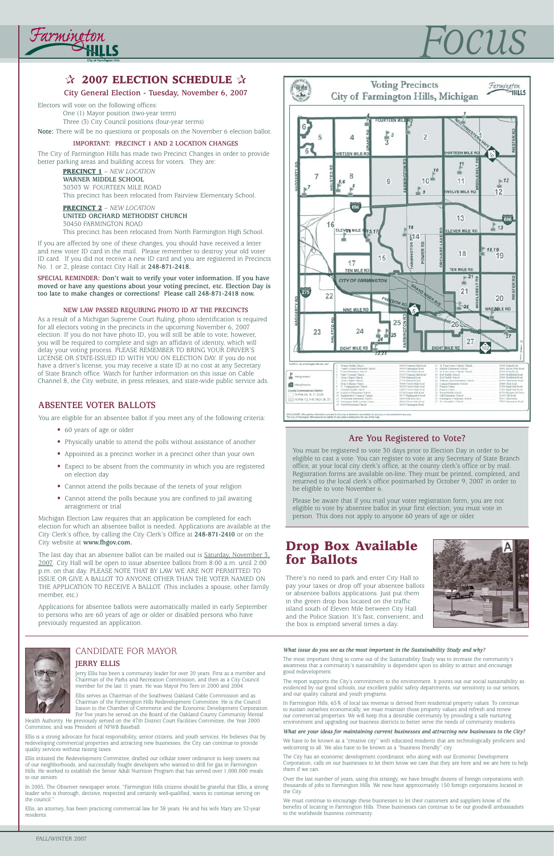**City General Election - Tuesday, November 6, 2007**

Electors will vote on the following offices:

One (1) Mayor position (two-year term) Three (3) City Council positions (four-year terms)

**Note:** There will be no questions or proposals on the November 6 election ballot.

### **IMPORTANT: PRECINCT 1 AND 2 LOCATION CHANGES**

The City of Farmington Hills has made two Precinct Changes in order to provide better parking areas and building access for voters. They are:

> **PRECINCT 1** – *NEW LOCATION* **WARNER MIDDLE SCHOOL** 30303 W. FOURTEEN MILE ROAD This precinct has been relocated from Fairview Elementary School.

**PRECINCT 2** – *NEW LOCATION* **UNITED ORCHARD METHODIST CHURCH** 30450 FARMINGTON ROAD This precinct has been relocated from North Farmington High School.

If you are affected by one of these changes, you should have received a letter and new voter ID card in the mail. Please remember to destroy your old voter ID card. If you did not receive a new ID card and you are registered in Precincts No. 1 or 2, please contact City Hall at **248-871-2418.**

**SPECIAL REMINDER: Don't wait to verify your voter information. If you have moved or have any questions about your voting precinct, etc. Election Day is too late to make changes or corrections! Please call 248-871-2418 now.**

### **NEW LAW PASSED REQUIRING PHOTO ID AT THE PRECINCTS**

As a result of a Michigan Supreme Court Ruling, photo identification is required for all electors voting in the precincts in the upcoming November 6, 2007 election. If you do not have photo ID, you will still be able to vote; however, you will be required to complete and sign an affidavit of identity, which will delay your voting process. PLEASE REMEMBER TO BRING YOUR DRIVER'S LICENSE OR STATE-ISSUED ID WITH YOU ON ELECTION DAY. If you do not have a driver's license, you may receive a state ID at no cost at any Secretary of State Branch office. Watch for further information on this issue on Cable Channel 8, the City website, in press releases, and state-wide public service ads.

The last day that an absentee ballot can be mailed out is Saturday, November 3, 2007. City Hall will be open to issue absentee ballots from 8:00 a.m. until 2:00 p.m. on that day. PLEASE NOTE THAT BY LAW WE ARE NOT PERMITTED TO ISSUE OR GIVE A BALLOT TO ANYONE OTHER THAN THE VOTER NAMED ON THE APPLICATION TO RECEIVE A BALLOT. (This includes a spouse, other family member, etc.)

### **Drop Box Available for Ballots**

There's no need to park and enter City Hall to pay your taxes or drop off your absentee ballots or absentee ballots applications. Just put them in the green drop box located on the traffic island south of Eleven Mile between City Hall and the Police Station. It's fast, convenient, and the box is emptied several times a day.





### **ABSENTEE VOTER BALLOTS**

You are eligible for an absentee ballot if you meet any of the following criteria:

- 60 years of age or older
- Physically unable to attend the polls without assistance of another
- Appointed as a precinct worker in a precinct other than your own
- Expect to be absent from the community in which you are registered on election day
- Cannot attend the polls because of the tenets of your religion
- Cannot attend the polls because you are confined to jail awaiting arraignment or trial

In 2005, The Observer newspaper wrote, "Farmington Hills citizens should be grateful that Ellis, a strong leader who is thorough, decisive, respected and certainly well-qualified, wants to continue serving on the council.

Michigan Election Law requires that an application be completed for each election for which an absentee ballot is needed. Applications are available at the City Clerk's office, by calling the City Clerk's Office at **248-871-2410** or on the City website at **www.fhgov.com.**

Applications for absentee ballots were automatically mailed in early September to persons who are 60 years of age or older or disabled persons who have previously requested an application.



### **Are You Registered to Vote?**

You must be registered to vote 30 days prior to Election Day in order to be eligible to cast a vote. You can register to vote at any Secretary of State Branch office, at your local city clerk's office, at the county clerk's office or by mail. Registration forms are available on-line. They must be printed, completed, and returned to the local clerk's office postmarked by October 9, 2007 in order to be eligible to vote November 6.

Please be aware that if you mail your voter registration form, you are not eligible to vote by absentee ballot in your first election; you must vote in person. This does not apply to anyone 60 years of age or older.

## *Focus*



### *<b>☆ 2007 ELECTION SCHEDULE* ☆

### CANDIDATE FOR MAYOR **JERRY ELLIS**

Jerry Ellis has been a community leader for over 20 years. First as a member and Chairman of the Parks and Recreation Commission, and then as a City Council member for the last 11 years. He was Mayor Pro Tem in 2000 and 2004.

Ellis serves as Chairman of the Southwest Oakland Cable Commission and as Chairman of the Farmington Hills Redevelopment Committee. He is the Council liaison to the Chamber of Commerce and the Economic Development Corporation. For five years he served on the Board of the Oakland County Community Mental

Health Authority. He previously served on the 47th District Court Facilities Committee, the Year 2000 Committee, and was President of NFWB Baseball.

Ellis is a strong advocate for fiscal responsibility, senior citizens, and youth services. He believes that by redeveloping commercial properties and attracting new businesses, the City can continue to provide quality services without raising taxes.

Ellis initiated the Redevelopment Committee, drafted our cellular tower ordinance to keep towers out of our neighborhoods, and successfully fought developers who wanted to drill for gas in Farmington Hills. He worked to establish the Senior Adult Nutrition Program that has served over 1,000,000 meals to our seniors.

Ellis, an attorney, has been practicing commercial law for 38 years. He and his wife Mary are 32-year residents.

#### *What issue do you see as the most important in the Sustainability Study and why?*

The most important thing to come out of the Sustainability Study was to increase the community's awareness that a community's sustainability is dependent upon its ability to attract and encourage good redevelopment.

The report supports the City's commitment to the environment. It points out our social sustainability as evidenced by our good schools, our excellent public safety departments, our sensitivity to our seniors, and our quality cultural and youth programs.

In Farmington Hills, 65% of local tax revenue is derived from residential property values. To continue to sustain ourselves economically, we must maintain those property values and refresh and renew our commercial properties. We will keep this a desirable community by providing a safe nurturing environment and upgrading our business districts to better serve the needs of community residents.

#### *What are your ideas for maintaining current businesses and attracting new businesses to the City?*

We have to be known as a "creative city" with educated residents that are technologically proficient and welcoming to all. We also have to be known as a "business friendly" city.

The City has an economic development coordinator, who along with our Economic Development Corporation, calls on our businesses to let them know we care that they are here and we are here to help them if we can.

Over the last number of years, using this strategy, we have brought dozens of foreign corporations with thousands of jobs to Farmington Hills. We now have approximately 150 foreign corporations located in the City.

We must continue to encourage these businesses to let their customers and suppliers know of the benefits of locating in Farmington Hills. These businesses can continue to be our goodwill ambassadors to the worldwide business community.